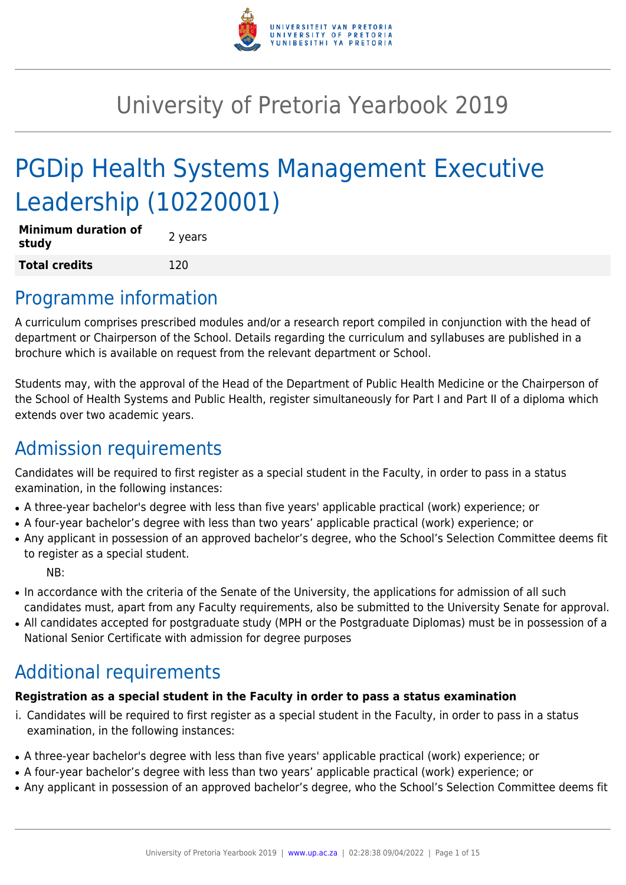

# University of Pretoria Yearbook 2019

# PGDip Health Systems Management Executive Leadership (10220001)

| <b>Minimum duration of</b><br>study | 2 years |
|-------------------------------------|---------|
| <b>Total credits</b>                | 120     |

# Programme information

A curriculum comprises prescribed modules and/or a research report compiled in conjunction with the head of department or Chairperson of the School. Details regarding the curriculum and syllabuses are published in a brochure which is available on request from the relevant department or School.

Students may, with the approval of the Head of the Department of Public Health Medicine or the Chairperson of the School of Health Systems and Public Health, register simultaneously for Part I and Part II of a diploma which extends over two academic years.

# Admission requirements

Candidates will be required to first register as a special student in the Faculty, in order to pass in a status examination, in the following instances:

- A three-year bachelor's degree with less than five years' applicable practical (work) experience; or
- A four-year bachelor's degree with less than two years' applicable practical (work) experience; or
- Any applicant in possession of an approved bachelor's degree, who the School's Selection Committee deems fit to register as a special student.

NB:

- In accordance with the criteria of the Senate of the University, the applications for admission of all such candidates must, apart from any Faculty requirements, also be submitted to the University Senate for approval.
- All candidates accepted for postgraduate study (MPH or the Postgraduate Diplomas) must be in possession of a National Senior Certificate with admission for degree purposes

# Additional requirements

# **Registration as a special student in the Faculty in order to pass a status examination**

- i. Candidates will be required to first register as a special student in the Faculty, in order to pass in a status examination, in the following instances:
- A three-year bachelor's degree with less than five years' applicable practical (work) experience; or
- A four-year bachelor's degree with less than two years' applicable practical (work) experience; or
- Any applicant in possession of an approved bachelor's degree, who the School's Selection Committee deems fit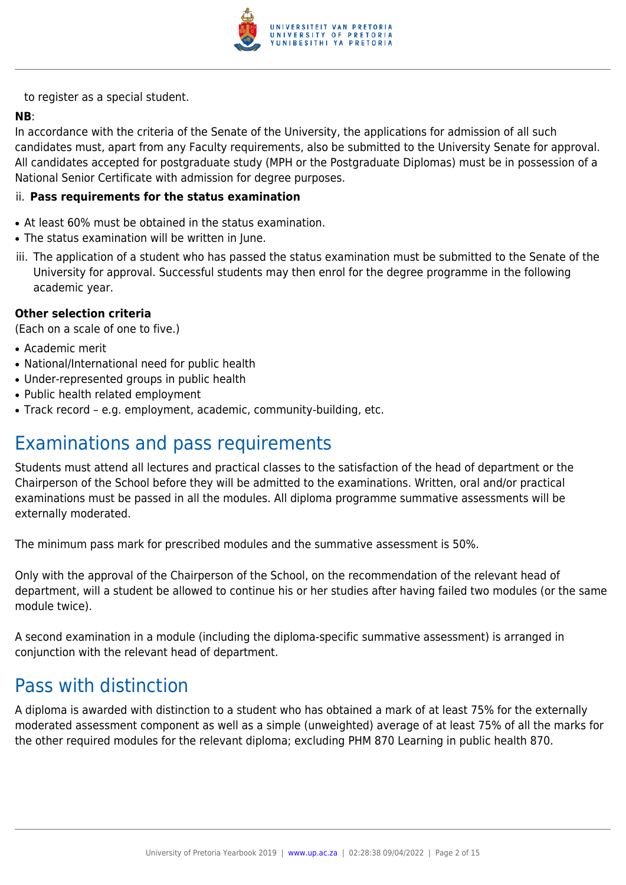

to register as a special student.

### **NB**:

In accordance with the criteria of the Senate of the University, the applications for admission of all such candidates must, apart from any Faculty requirements, also be submitted to the University Senate for approval. All candidates accepted for postgraduate study (MPH or the Postgraduate Diplomas) must be in possession of a National Senior Certificate with admission for degree purposes.

#### ii. **Pass requirements for the status examination**

- At least 60% must be obtained in the status examination.
- The status examination will be written in June.
- iii. The application of a student who has passed the status examination must be submitted to the Senate of the University for approval. Successful students may then enrol for the degree programme in the following academic year.

#### **Other selection criteria**

(Each on a scale of one to five.)

- Academic merit
- National/International need for public health
- Under-represented groups in public health
- Public health related employment
- Track record e.g. employment, academic, community-building, etc.

# Examinations and pass requirements

Students must attend all lectures and practical classes to the satisfaction of the head of department or the Chairperson of the School before they will be admitted to the examinations. Written, oral and/or practical examinations must be passed in all the modules. All diploma programme summative assessments will be externally moderated.

The minimum pass mark for prescribed modules and the summative assessment is 50%.

Only with the approval of the Chairperson of the School, on the recommendation of the relevant head of department, will a student be allowed to continue his or her studies after having failed two modules (or the same module twice).

A second examination in a module (including the diploma-specific summative assessment) is arranged in conjunction with the relevant head of department.

# Pass with distinction

A diploma is awarded with distinction to a student who has obtained a mark of at least 75% for the externally moderated assessment component as well as a simple (unweighted) average of at least 75% of all the marks for the other required modules for the relevant diploma; excluding PHM 870 Learning in public health 870.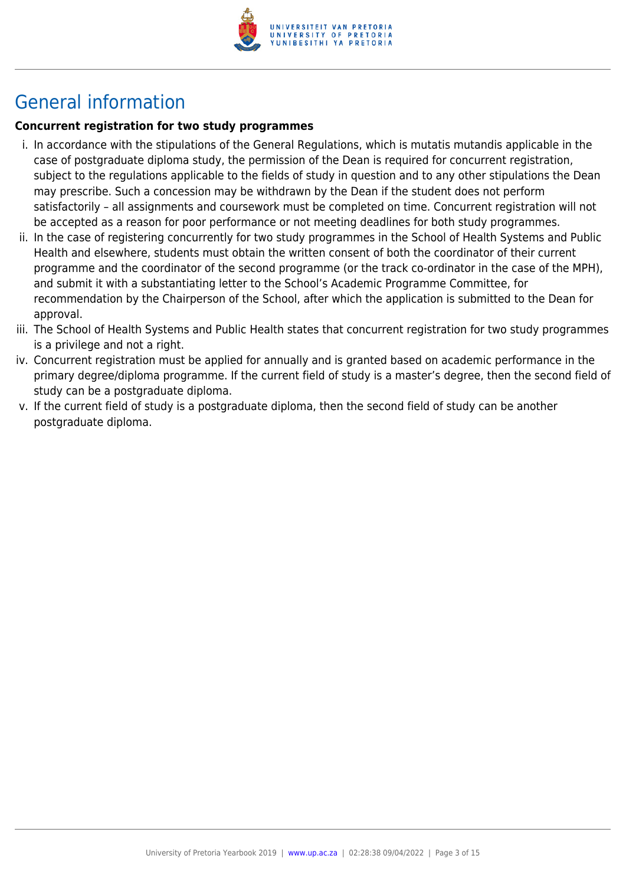

# General information

# **Concurrent registration for two study programmes**

- i. In accordance with the stipulations of the General Regulations, which is mutatis mutandis applicable in the case of postgraduate diploma study, the permission of the Dean is required for concurrent registration, subject to the regulations applicable to the fields of study in question and to any other stipulations the Dean may prescribe. Such a concession may be withdrawn by the Dean if the student does not perform satisfactorily – all assignments and coursework must be completed on time. Concurrent registration will not be accepted as a reason for poor performance or not meeting deadlines for both study programmes.
- ii. In the case of registering concurrently for two study programmes in the School of Health Systems and Public Health and elsewhere, students must obtain the written consent of both the coordinator of their current programme and the coordinator of the second programme (or the track co-ordinator in the case of the MPH), and submit it with a substantiating letter to the School's Academic Programme Committee, for recommendation by the Chairperson of the School, after which the application is submitted to the Dean for approval.
- iii. The School of Health Systems and Public Health states that concurrent registration for two study programmes is a privilege and not a right.
- iv. Concurrent registration must be applied for annually and is granted based on academic performance in the primary degree/diploma programme. If the current field of study is a master's degree, then the second field of study can be a postgraduate diploma.
- v. If the current field of study is a postgraduate diploma, then the second field of study can be another postgraduate diploma.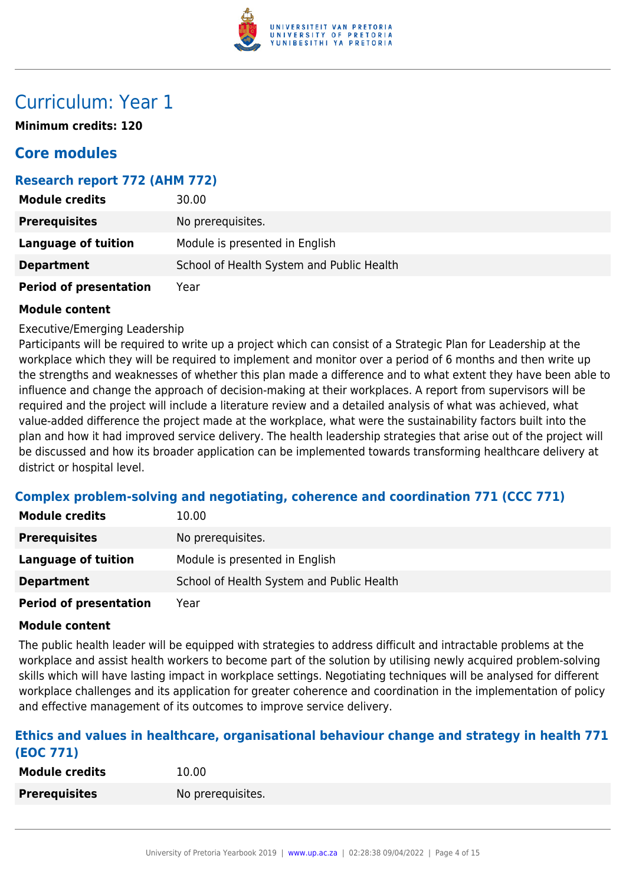

# Curriculum: Year 1

**Minimum credits: 120**

# **Core modules**

# **Research report 772 (AHM 772)**

| <b>Module credits</b>         | 30.00                                     |
|-------------------------------|-------------------------------------------|
| <b>Prerequisites</b>          | No prerequisites.                         |
| <b>Language of tuition</b>    | Module is presented in English            |
| <b>Department</b>             | School of Health System and Public Health |
| <b>Period of presentation</b> | Year                                      |

#### **Module content**

Executive/Emerging Leadership

Participants will be required to write up a project which can consist of a Strategic Plan for Leadership at the workplace which they will be required to implement and monitor over a period of 6 months and then write up the strengths and weaknesses of whether this plan made a difference and to what extent they have been able to influence and change the approach of decision-making at their workplaces. A report from supervisors will be required and the project will include a literature review and a detailed analysis of what was achieved, what value-added difference the project made at the workplace, what were the sustainability factors built into the plan and how it had improved service delivery. The health leadership strategies that arise out of the project will be discussed and how its broader application can be implemented towards transforming healthcare delivery at district or hospital level.

# **Complex problem-solving and negotiating, coherence and coordination 771 (CCC 771)**

| <b>Module credits</b>       | 10.00                                     |
|-----------------------------|-------------------------------------------|
| <b>Prerequisites</b>        | No prerequisites.                         |
| Language of tuition         | Module is presented in English            |
| <b>Department</b>           | School of Health System and Public Health |
| Booked of more contribution | $V = -$                                   |

**Period of presentation** Year

#### **Module content**

The public health leader will be equipped with strategies to address difficult and intractable problems at the workplace and assist health workers to become part of the solution by utilising newly acquired problem-solving skills which will have lasting impact in workplace settings. Negotiating techniques will be analysed for different workplace challenges and its application for greater coherence and coordination in the implementation of policy and effective management of its outcomes to improve service delivery.

#### **Ethics and values in healthcare, organisational behaviour change and strategy in health 771 (EOC 771)**

| <b>Module credits</b> | 10.00             |
|-----------------------|-------------------|
| <b>Prerequisites</b>  | No prerequisites. |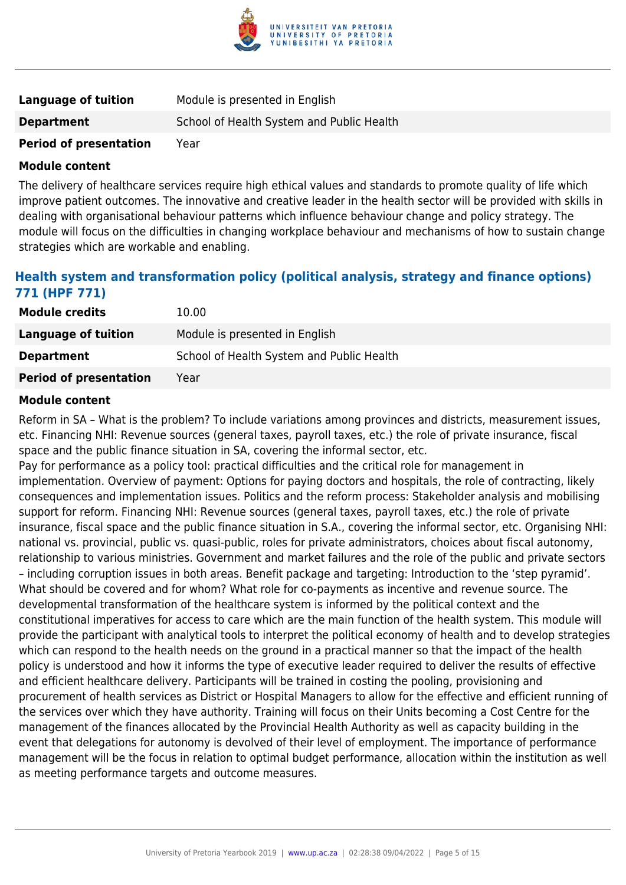

| <b>Language of tuition</b>    | Module is presented in English            |
|-------------------------------|-------------------------------------------|
| <b>Department</b>             | School of Health System and Public Health |
| <b>Period of presentation</b> | Year                                      |

The delivery of healthcare services require high ethical values and standards to promote quality of life which improve patient outcomes. The innovative and creative leader in the health sector will be provided with skills in dealing with organisational behaviour patterns which influence behaviour change and policy strategy. The module will focus on the difficulties in changing workplace behaviour and mechanisms of how to sustain change strategies which are workable and enabling.

# **Health system and transformation policy (political analysis, strategy and finance options) 771 (HPF 771)**

| <b>Module credits</b>         | 10.00                                     |
|-------------------------------|-------------------------------------------|
| Language of tuition           | Module is presented in English            |
| <b>Department</b>             | School of Health System and Public Health |
| <b>Period of presentation</b> | Year                                      |

#### **Module content**

Reform in SA – What is the problem? To include variations among provinces and districts, measurement issues, etc. Financing NHI: Revenue sources (general taxes, payroll taxes, etc.) the role of private insurance, fiscal space and the public finance situation in SA, covering the informal sector, etc.

Pay for performance as a policy tool: practical difficulties and the critical role for management in implementation. Overview of payment: Options for paying doctors and hospitals, the role of contracting, likely consequences and implementation issues. Politics and the reform process: Stakeholder analysis and mobilising support for reform. Financing NHI: Revenue sources (general taxes, payroll taxes, etc.) the role of private insurance, fiscal space and the public finance situation in S.A., covering the informal sector, etc. Organising NHI: national vs. provincial, public vs. quasi-public, roles for private administrators, choices about fiscal autonomy, relationship to various ministries. Government and market failures and the role of the public and private sectors – including corruption issues in both areas. Benefit package and targeting: Introduction to the 'step pyramid'. What should be covered and for whom? What role for co-payments as incentive and revenue source. The developmental transformation of the healthcare system is informed by the political context and the constitutional imperatives for access to care which are the main function of the health system. This module will provide the participant with analytical tools to interpret the political economy of health and to develop strategies which can respond to the health needs on the ground in a practical manner so that the impact of the health policy is understood and how it informs the type of executive leader required to deliver the results of effective and efficient healthcare delivery. Participants will be trained in costing the pooling, provisioning and procurement of health services as District or Hospital Managers to allow for the effective and efficient running of the services over which they have authority. Training will focus on their Units becoming a Cost Centre for the management of the finances allocated by the Provincial Health Authority as well as capacity building in the event that delegations for autonomy is devolved of their level of employment. The importance of performance management will be the focus in relation to optimal budget performance, allocation within the institution as well as meeting performance targets and outcome measures.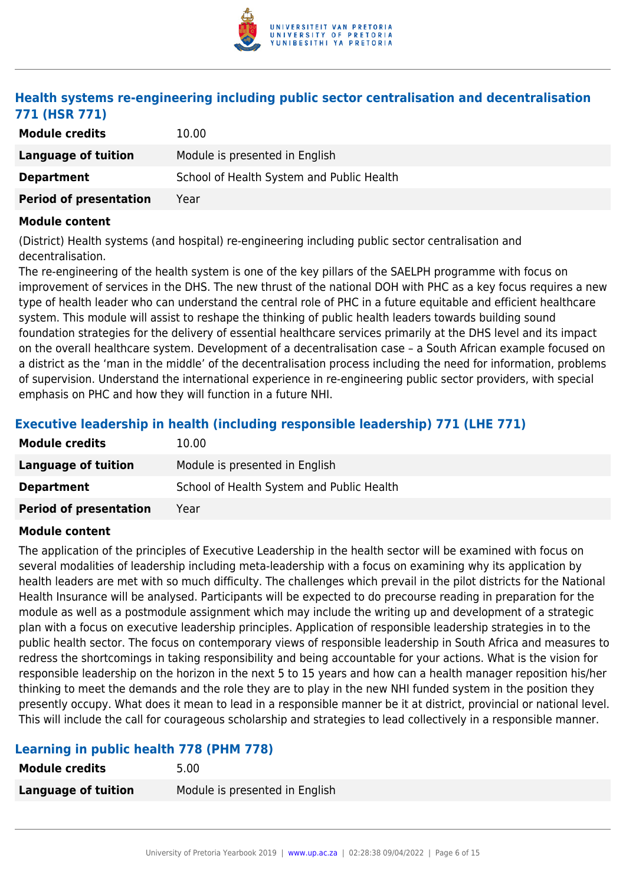

# **Health systems re-engineering including public sector centralisation and decentralisation 771 (HSR 771)**

| <b>Module credits</b>         | 10.00                                     |
|-------------------------------|-------------------------------------------|
| Language of tuition           | Module is presented in English            |
| <b>Department</b>             | School of Health System and Public Health |
| <b>Period of presentation</b> | Year                                      |

#### **Module content**

(District) Health systems (and hospital) re-engineering including public sector centralisation and decentralisation.

The re-engineering of the health system is one of the key pillars of the SAELPH programme with focus on improvement of services in the DHS. The new thrust of the national DOH with PHC as a key focus requires a new type of health leader who can understand the central role of PHC in a future equitable and efficient healthcare system. This module will assist to reshape the thinking of public health leaders towards building sound foundation strategies for the delivery of essential healthcare services primarily at the DHS level and its impact on the overall healthcare system. Development of a decentralisation case – a South African example focused on a district as the 'man in the middle' of the decentralisation process including the need for information, problems of supervision. Understand the international experience in re-engineering public sector providers, with special emphasis on PHC and how they will function in a future NHI.

# **Executive leadership in health (including responsible leadership) 771 (LHE 771)**

| <b>Module credits</b>         | 10.00                                     |
|-------------------------------|-------------------------------------------|
| Language of tuition           | Module is presented in English            |
| <b>Department</b>             | School of Health System and Public Health |
| <b>Period of presentation</b> | Year                                      |

#### **Module content**

The application of the principles of Executive Leadership in the health sector will be examined with focus on several modalities of leadership including meta-leadership with a focus on examining why its application by health leaders are met with so much difficulty. The challenges which prevail in the pilot districts for the National Health Insurance will be analysed. Participants will be expected to do precourse reading in preparation for the module as well as a postmodule assignment which may include the writing up and development of a strategic plan with a focus on executive leadership principles. Application of responsible leadership strategies in to the public health sector. The focus on contemporary views of responsible leadership in South Africa and measures to redress the shortcomings in taking responsibility and being accountable for your actions. What is the vision for responsible leadership on the horizon in the next 5 to 15 years and how can a health manager reposition his/her thinking to meet the demands and the role they are to play in the new NHI funded system in the position they presently occupy. What does it mean to lead in a responsible manner be it at district, provincial or national level. This will include the call for courageous scholarship and strategies to lead collectively in a responsible manner.

# **Learning in public health 778 (PHM 778)**

| <b>Module credits</b>      | 5.00                           |
|----------------------------|--------------------------------|
| <b>Language of tuition</b> | Module is presented in English |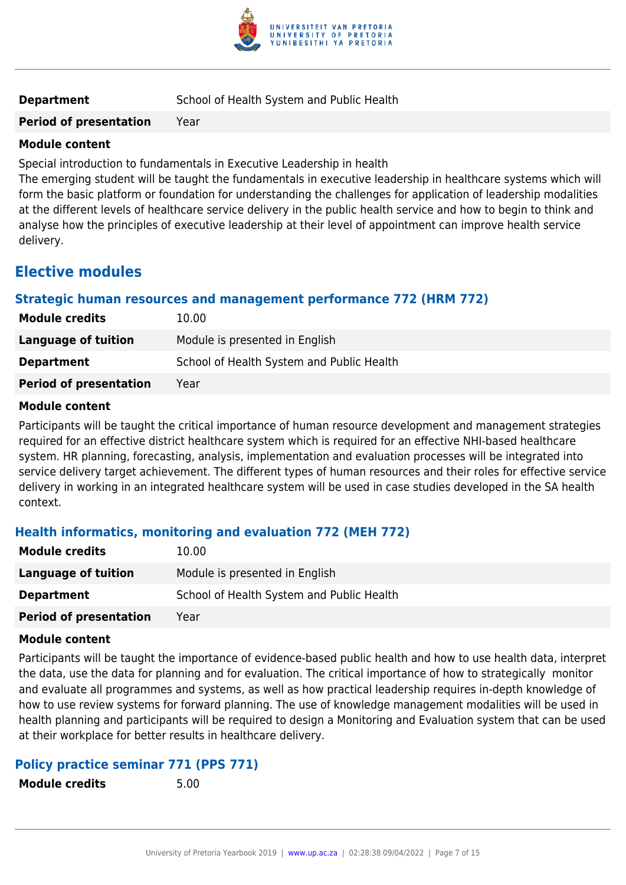

**Period of presentation** Year

#### **Module content**

Special introduction to fundamentals in Executive Leadership in health

The emerging student will be taught the fundamentals in executive leadership in healthcare systems which will form the basic platform or foundation for understanding the challenges for application of leadership modalities at the different levels of healthcare service delivery in the public health service and how to begin to think and analyse how the principles of executive leadership at their level of appointment can improve health service delivery.

# **Elective modules**

# **Strategic human resources and management performance 772 (HRM 772)**

| <b>Module credits</b>         | 10.00                                     |
|-------------------------------|-------------------------------------------|
| Language of tuition           | Module is presented in English            |
| <b>Department</b>             | School of Health System and Public Health |
| <b>Period of presentation</b> | Year                                      |

#### **Module content**

Participants will be taught the critical importance of human resource development and management strategies required for an effective district healthcare system which is required for an effective NHI-based healthcare system. HR planning, forecasting, analysis, implementation and evaluation processes will be integrated into service delivery target achievement. The different types of human resources and their roles for effective service delivery in working in an integrated healthcare system will be used in case studies developed in the SA health context.

# **Health informatics, monitoring and evaluation 772 (MEH 772)**

| <b>Module credits</b>         | 10.00                                     |
|-------------------------------|-------------------------------------------|
| Language of tuition           | Module is presented in English            |
| <b>Department</b>             | School of Health System and Public Health |
| <b>Period of presentation</b> | Year                                      |

#### **Module content**

Participants will be taught the importance of evidence-based public health and how to use health data, interpret the data, use the data for planning and for evaluation. The critical importance of how to strategically monitor and evaluate all programmes and systems, as well as how practical leadership requires in-depth knowledge of how to use review systems for forward planning. The use of knowledge management modalities will be used in health planning and participants will be required to design a Monitoring and Evaluation system that can be used at their workplace for better results in healthcare delivery.

# **Policy practice seminar 771 (PPS 771)**

**Module credits** 5.00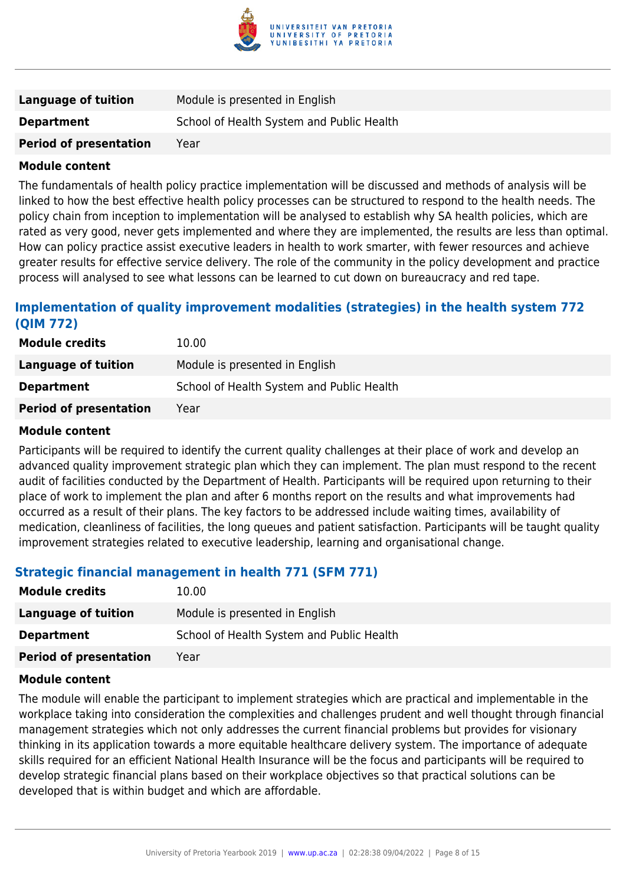

| Language of tuition           | Module is presented in English            |
|-------------------------------|-------------------------------------------|
| <b>Department</b>             | School of Health System and Public Health |
| <b>Period of presentation</b> | Year                                      |

The fundamentals of health policy practice implementation will be discussed and methods of analysis will be linked to how the best effective health policy processes can be structured to respond to the health needs. The policy chain from inception to implementation will be analysed to establish why SA health policies, which are rated as very good, never gets implemented and where they are implemented, the results are less than optimal. How can policy practice assist executive leaders in health to work smarter, with fewer resources and achieve greater results for effective service delivery. The role of the community in the policy development and practice process will analysed to see what lessons can be learned to cut down on bureaucracy and red tape.

# **Implementation of quality improvement modalities (strategies) in the health system 772 (QIM 772)**

| <b>Module credits</b>         | 10.00                                     |
|-------------------------------|-------------------------------------------|
| Language of tuition           | Module is presented in English            |
| <b>Department</b>             | School of Health System and Public Health |
| <b>Period of presentation</b> | Year                                      |

#### **Module content**

Participants will be required to identify the current quality challenges at their place of work and develop an advanced quality improvement strategic plan which they can implement. The plan must respond to the recent audit of facilities conducted by the Department of Health. Participants will be required upon returning to their place of work to implement the plan and after 6 months report on the results and what improvements had occurred as a result of their plans. The key factors to be addressed include waiting times, availability of medication, cleanliness of facilities, the long queues and patient satisfaction. Participants will be taught quality improvement strategies related to executive leadership, learning and organisational change.

#### **Strategic financial management in health 771 (SFM 771)**

| <b>Module credits</b>         | 10.00                                     |
|-------------------------------|-------------------------------------------|
| Language of tuition           | Module is presented in English            |
| <b>Department</b>             | School of Health System and Public Health |
| <b>Period of presentation</b> | Year                                      |

#### **Module content**

The module will enable the participant to implement strategies which are practical and implementable in the workplace taking into consideration the complexities and challenges prudent and well thought through financial management strategies which not only addresses the current financial problems but provides for visionary thinking in its application towards a more equitable healthcare delivery system. The importance of adequate skills required for an efficient National Health Insurance will be the focus and participants will be required to develop strategic financial plans based on their workplace objectives so that practical solutions can be developed that is within budget and which are affordable.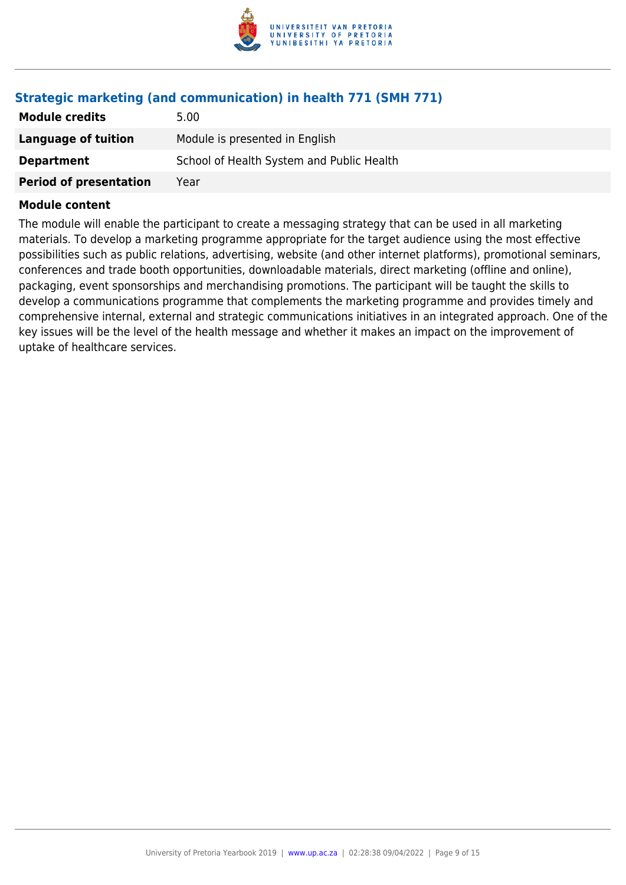

# **Strategic marketing (and communication) in health 771 (SMH 771)**

| <b>Module credits</b>         | 5.00                                      |
|-------------------------------|-------------------------------------------|
| Language of tuition           | Module is presented in English            |
| <b>Department</b>             | School of Health System and Public Health |
| <b>Period of presentation</b> | Year                                      |

#### **Module content**

The module will enable the participant to create a messaging strategy that can be used in all marketing materials. To develop a marketing programme appropriate for the target audience using the most effective possibilities such as public relations, advertising, website (and other internet platforms), promotional seminars, conferences and trade booth opportunities, downloadable materials, direct marketing (offline and online), packaging, event sponsorships and merchandising promotions. The participant will be taught the skills to develop a communications programme that complements the marketing programme and provides timely and comprehensive internal, external and strategic communications initiatives in an integrated approach. One of the key issues will be the level of the health message and whether it makes an impact on the improvement of uptake of healthcare services.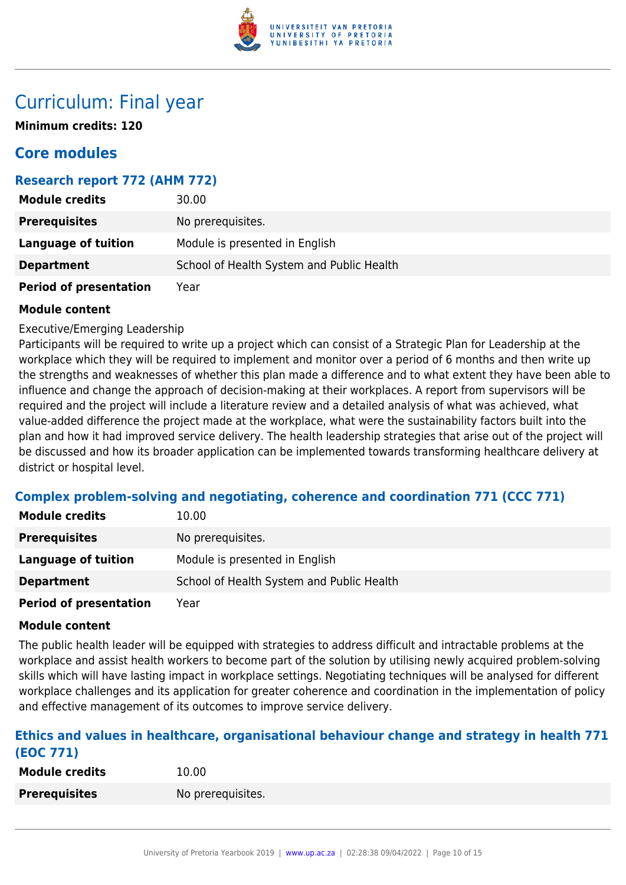

# Curriculum: Final year

**Minimum credits: 120**

# **Core modules**

# **Research report 772 (AHM 772)**

| <b>Module credits</b>         | 30.00                                     |
|-------------------------------|-------------------------------------------|
| <b>Prerequisites</b>          | No prerequisites.                         |
| <b>Language of tuition</b>    | Module is presented in English            |
| <b>Department</b>             | School of Health System and Public Health |
| <b>Period of presentation</b> | Year                                      |

#### **Module content**

Executive/Emerging Leadership

Participants will be required to write up a project which can consist of a Strategic Plan for Leadership at the workplace which they will be required to implement and monitor over a period of 6 months and then write up the strengths and weaknesses of whether this plan made a difference and to what extent they have been able to influence and change the approach of decision-making at their workplaces. A report from supervisors will be required and the project will include a literature review and a detailed analysis of what was achieved, what value-added difference the project made at the workplace, what were the sustainability factors built into the plan and how it had improved service delivery. The health leadership strategies that arise out of the project will be discussed and how its broader application can be implemented towards transforming healthcare delivery at district or hospital level.

# **Complex problem-solving and negotiating, coherence and coordination 771 (CCC 771)**

| <b>Module credits</b>      | 10.00                                     |
|----------------------------|-------------------------------------------|
| <b>Prerequisites</b>       | No prerequisites.                         |
| Language of tuition        | Module is presented in English            |
| <b>Department</b>          | School of Health System and Public Health |
| Booked of more contable in | $\mathcal{M}$ $\sim$ $\sim$               |

**Period of presentation** Year

#### **Module content**

The public health leader will be equipped with strategies to address difficult and intractable problems at the workplace and assist health workers to become part of the solution by utilising newly acquired problem-solving skills which will have lasting impact in workplace settings. Negotiating techniques will be analysed for different workplace challenges and its application for greater coherence and coordination in the implementation of policy and effective management of its outcomes to improve service delivery.

#### **Ethics and values in healthcare, organisational behaviour change and strategy in health 771 (EOC 771)**

| <b>Module credits</b> | 10.00             |
|-----------------------|-------------------|
| <b>Prerequisites</b>  | No prerequisites. |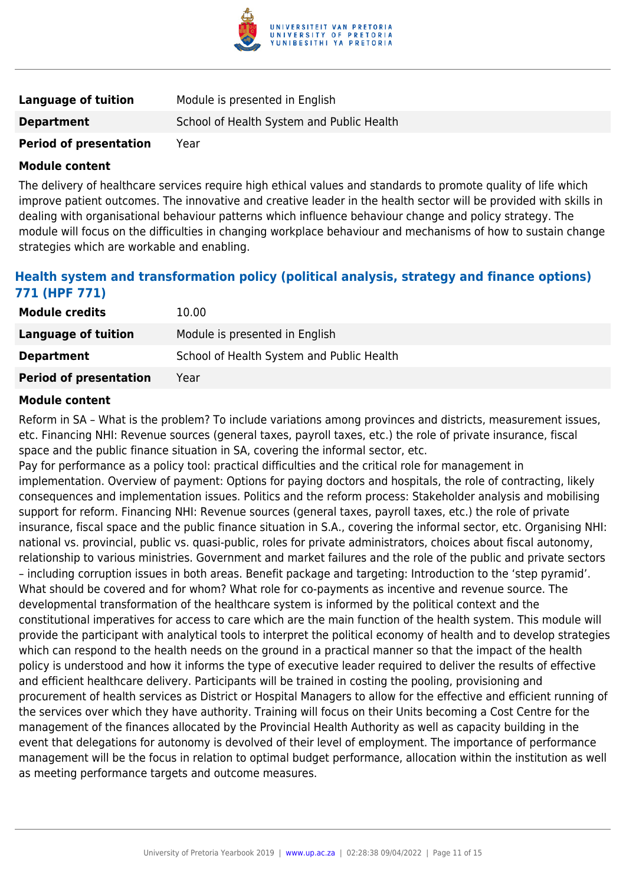

| <b>Language of tuition</b>    | Module is presented in English            |
|-------------------------------|-------------------------------------------|
| <b>Department</b>             | School of Health System and Public Health |
| <b>Period of presentation</b> | Year                                      |

The delivery of healthcare services require high ethical values and standards to promote quality of life which improve patient outcomes. The innovative and creative leader in the health sector will be provided with skills in dealing with organisational behaviour patterns which influence behaviour change and policy strategy. The module will focus on the difficulties in changing workplace behaviour and mechanisms of how to sustain change strategies which are workable and enabling.

# **Health system and transformation policy (political analysis, strategy and finance options) 771 (HPF 771)**

| <b>Module credits</b>         | 10.00                                     |
|-------------------------------|-------------------------------------------|
| Language of tuition           | Module is presented in English            |
| <b>Department</b>             | School of Health System and Public Health |
| <b>Period of presentation</b> | Year                                      |

#### **Module content**

Reform in SA – What is the problem? To include variations among provinces and districts, measurement issues, etc. Financing NHI: Revenue sources (general taxes, payroll taxes, etc.) the role of private insurance, fiscal space and the public finance situation in SA, covering the informal sector, etc.

Pay for performance as a policy tool: practical difficulties and the critical role for management in implementation. Overview of payment: Options for paying doctors and hospitals, the role of contracting, likely consequences and implementation issues. Politics and the reform process: Stakeholder analysis and mobilising support for reform. Financing NHI: Revenue sources (general taxes, payroll taxes, etc.) the role of private insurance, fiscal space and the public finance situation in S.A., covering the informal sector, etc. Organising NHI: national vs. provincial, public vs. quasi-public, roles for private administrators, choices about fiscal autonomy, relationship to various ministries. Government and market failures and the role of the public and private sectors – including corruption issues in both areas. Benefit package and targeting: Introduction to the 'step pyramid'. What should be covered and for whom? What role for co-payments as incentive and revenue source. The developmental transformation of the healthcare system is informed by the political context and the constitutional imperatives for access to care which are the main function of the health system. This module will provide the participant with analytical tools to interpret the political economy of health and to develop strategies which can respond to the health needs on the ground in a practical manner so that the impact of the health policy is understood and how it informs the type of executive leader required to deliver the results of effective and efficient healthcare delivery. Participants will be trained in costing the pooling, provisioning and procurement of health services as District or Hospital Managers to allow for the effective and efficient running of the services over which they have authority. Training will focus on their Units becoming a Cost Centre for the management of the finances allocated by the Provincial Health Authority as well as capacity building in the event that delegations for autonomy is devolved of their level of employment. The importance of performance management will be the focus in relation to optimal budget performance, allocation within the institution as well as meeting performance targets and outcome measures.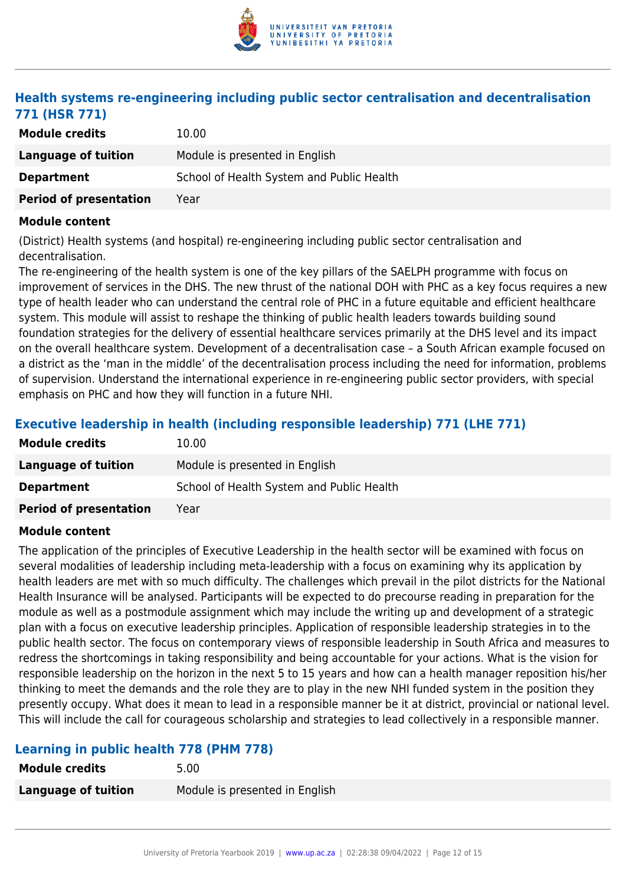

# **Health systems re-engineering including public sector centralisation and decentralisation 771 (HSR 771)**

| <b>Module credits</b>         | 10.00                                     |
|-------------------------------|-------------------------------------------|
| Language of tuition           | Module is presented in English            |
| <b>Department</b>             | School of Health System and Public Health |
| <b>Period of presentation</b> | Year                                      |

#### **Module content**

(District) Health systems (and hospital) re-engineering including public sector centralisation and decentralisation.

The re-engineering of the health system is one of the key pillars of the SAELPH programme with focus on improvement of services in the DHS. The new thrust of the national DOH with PHC as a key focus requires a new type of health leader who can understand the central role of PHC in a future equitable and efficient healthcare system. This module will assist to reshape the thinking of public health leaders towards building sound foundation strategies for the delivery of essential healthcare services primarily at the DHS level and its impact on the overall healthcare system. Development of a decentralisation case – a South African example focused on a district as the 'man in the middle' of the decentralisation process including the need for information, problems of supervision. Understand the international experience in re-engineering public sector providers, with special emphasis on PHC and how they will function in a future NHI.

# **Executive leadership in health (including responsible leadership) 771 (LHE 771)**

| <b>Module credits</b>         | 10.00                                     |
|-------------------------------|-------------------------------------------|
| Language of tuition           | Module is presented in English            |
| <b>Department</b>             | School of Health System and Public Health |
| <b>Period of presentation</b> | Year                                      |

#### **Module content**

The application of the principles of Executive Leadership in the health sector will be examined with focus on several modalities of leadership including meta-leadership with a focus on examining why its application by health leaders are met with so much difficulty. The challenges which prevail in the pilot districts for the National Health Insurance will be analysed. Participants will be expected to do precourse reading in preparation for the module as well as a postmodule assignment which may include the writing up and development of a strategic plan with a focus on executive leadership principles. Application of responsible leadership strategies in to the public health sector. The focus on contemporary views of responsible leadership in South Africa and measures to redress the shortcomings in taking responsibility and being accountable for your actions. What is the vision for responsible leadership on the horizon in the next 5 to 15 years and how can a health manager reposition his/her thinking to meet the demands and the role they are to play in the new NHI funded system in the position they presently occupy. What does it mean to lead in a responsible manner be it at district, provincial or national level. This will include the call for courageous scholarship and strategies to lead collectively in a responsible manner.

# **Learning in public health 778 (PHM 778)**

| <b>Module credits</b>      | 5.00                           |
|----------------------------|--------------------------------|
| <b>Language of tuition</b> | Module is presented in English |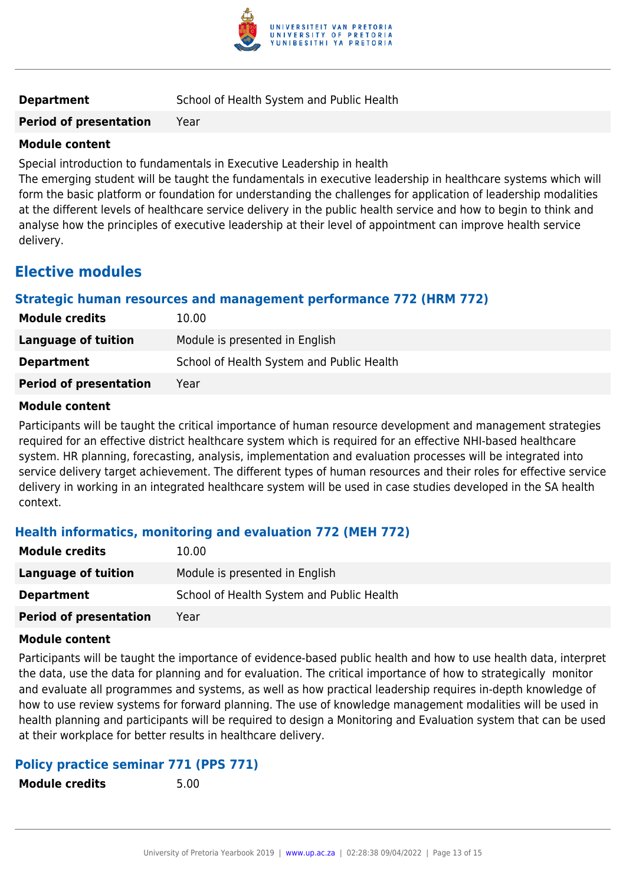

**Period of presentation** Year

#### **Module content**

Special introduction to fundamentals in Executive Leadership in health

The emerging student will be taught the fundamentals in executive leadership in healthcare systems which will form the basic platform or foundation for understanding the challenges for application of leadership modalities at the different levels of healthcare service delivery in the public health service and how to begin to think and analyse how the principles of executive leadership at their level of appointment can improve health service delivery.

# **Elective modules**

# **Strategic human resources and management performance 772 (HRM 772)**

| <b>Module credits</b>         | 10.00                                     |
|-------------------------------|-------------------------------------------|
| Language of tuition           | Module is presented in English            |
| <b>Department</b>             | School of Health System and Public Health |
| <b>Period of presentation</b> | Year                                      |

#### **Module content**

Participants will be taught the critical importance of human resource development and management strategies required for an effective district healthcare system which is required for an effective NHI-based healthcare system. HR planning, forecasting, analysis, implementation and evaluation processes will be integrated into service delivery target achievement. The different types of human resources and their roles for effective service delivery in working in an integrated healthcare system will be used in case studies developed in the SA health context.

# **Health informatics, monitoring and evaluation 772 (MEH 772)**

| <b>Module credits</b>         | 10.00                                     |
|-------------------------------|-------------------------------------------|
| Language of tuition           | Module is presented in English            |
| <b>Department</b>             | School of Health System and Public Health |
| <b>Period of presentation</b> | Year                                      |

#### **Module content**

Participants will be taught the importance of evidence-based public health and how to use health data, interpret the data, use the data for planning and for evaluation. The critical importance of how to strategically monitor and evaluate all programmes and systems, as well as how practical leadership requires in-depth knowledge of how to use review systems for forward planning. The use of knowledge management modalities will be used in health planning and participants will be required to design a Monitoring and Evaluation system that can be used at their workplace for better results in healthcare delivery.

# **Policy practice seminar 771 (PPS 771)**

**Module credits** 5.00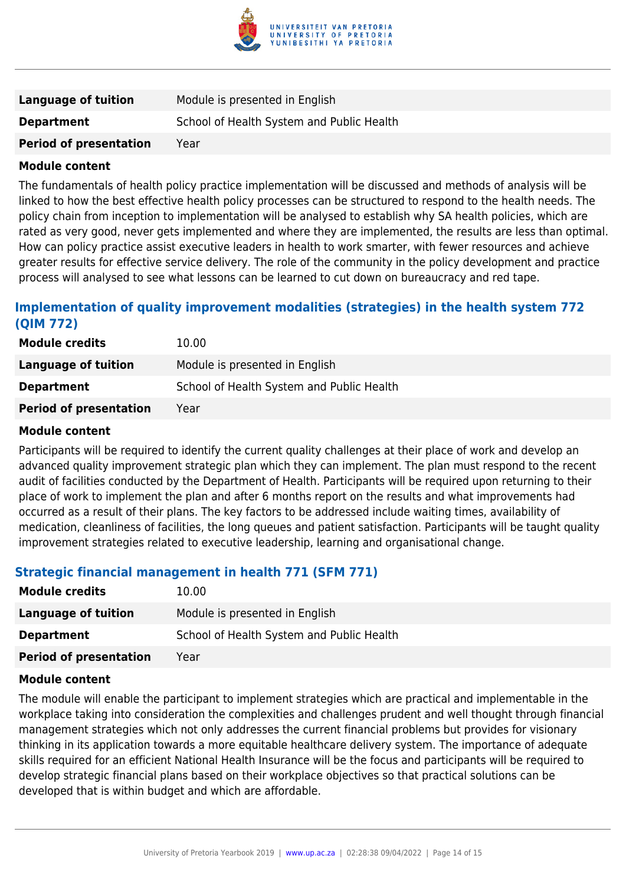

| Language of tuition           | Module is presented in English            |
|-------------------------------|-------------------------------------------|
| <b>Department</b>             | School of Health System and Public Health |
| <b>Period of presentation</b> | Year                                      |

The fundamentals of health policy practice implementation will be discussed and methods of analysis will be linked to how the best effective health policy processes can be structured to respond to the health needs. The policy chain from inception to implementation will be analysed to establish why SA health policies, which are rated as very good, never gets implemented and where they are implemented, the results are less than optimal. How can policy practice assist executive leaders in health to work smarter, with fewer resources and achieve greater results for effective service delivery. The role of the community in the policy development and practice process will analysed to see what lessons can be learned to cut down on bureaucracy and red tape.

# **Implementation of quality improvement modalities (strategies) in the health system 772 (QIM 772)**

| <b>Module credits</b>         | 10.00                                     |
|-------------------------------|-------------------------------------------|
| Language of tuition           | Module is presented in English            |
| <b>Department</b>             | School of Health System and Public Health |
| <b>Period of presentation</b> | Year                                      |

#### **Module content**

Participants will be required to identify the current quality challenges at their place of work and develop an advanced quality improvement strategic plan which they can implement. The plan must respond to the recent audit of facilities conducted by the Department of Health. Participants will be required upon returning to their place of work to implement the plan and after 6 months report on the results and what improvements had occurred as a result of their plans. The key factors to be addressed include waiting times, availability of medication, cleanliness of facilities, the long queues and patient satisfaction. Participants will be taught quality improvement strategies related to executive leadership, learning and organisational change.

#### **Strategic financial management in health 771 (SFM 771)**

| <b>Module credits</b>         | 10.00                                     |
|-------------------------------|-------------------------------------------|
| Language of tuition           | Module is presented in English            |
| <b>Department</b>             | School of Health System and Public Health |
| <b>Period of presentation</b> | Year                                      |

#### **Module content**

The module will enable the participant to implement strategies which are practical and implementable in the workplace taking into consideration the complexities and challenges prudent and well thought through financial management strategies which not only addresses the current financial problems but provides for visionary thinking in its application towards a more equitable healthcare delivery system. The importance of adequate skills required for an efficient National Health Insurance will be the focus and participants will be required to develop strategic financial plans based on their workplace objectives so that practical solutions can be developed that is within budget and which are affordable.